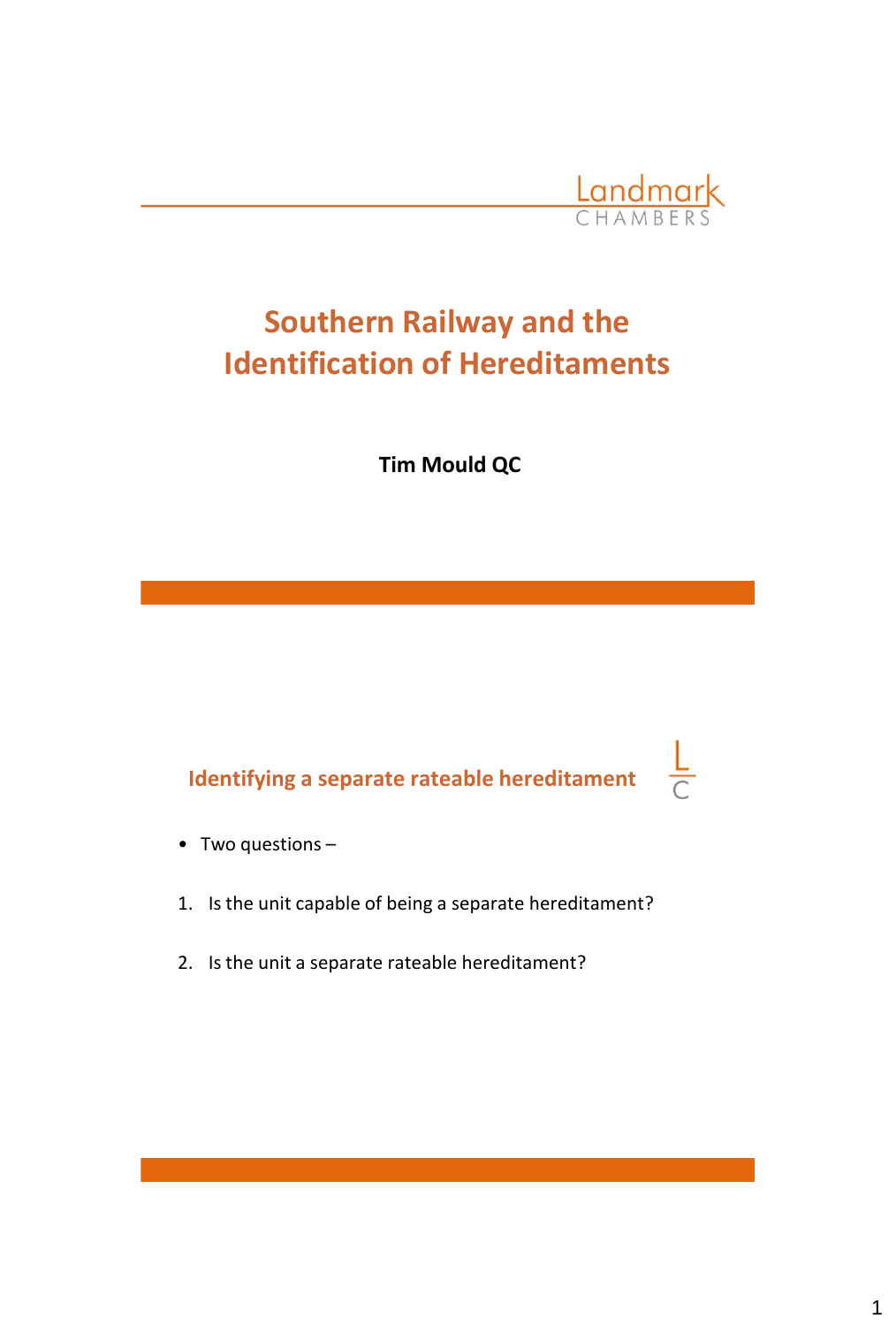

 $\frac{L}{C}$ 

# **Southern Railway and the Identification of Hereditaments**

**Tim Mould QC**

# **Identifying a separate rateable hereditament**

- Two questions –
- 1. Is the unit capable of being a separate hereditament?
- 2. Is the unit a separate rateable hereditament?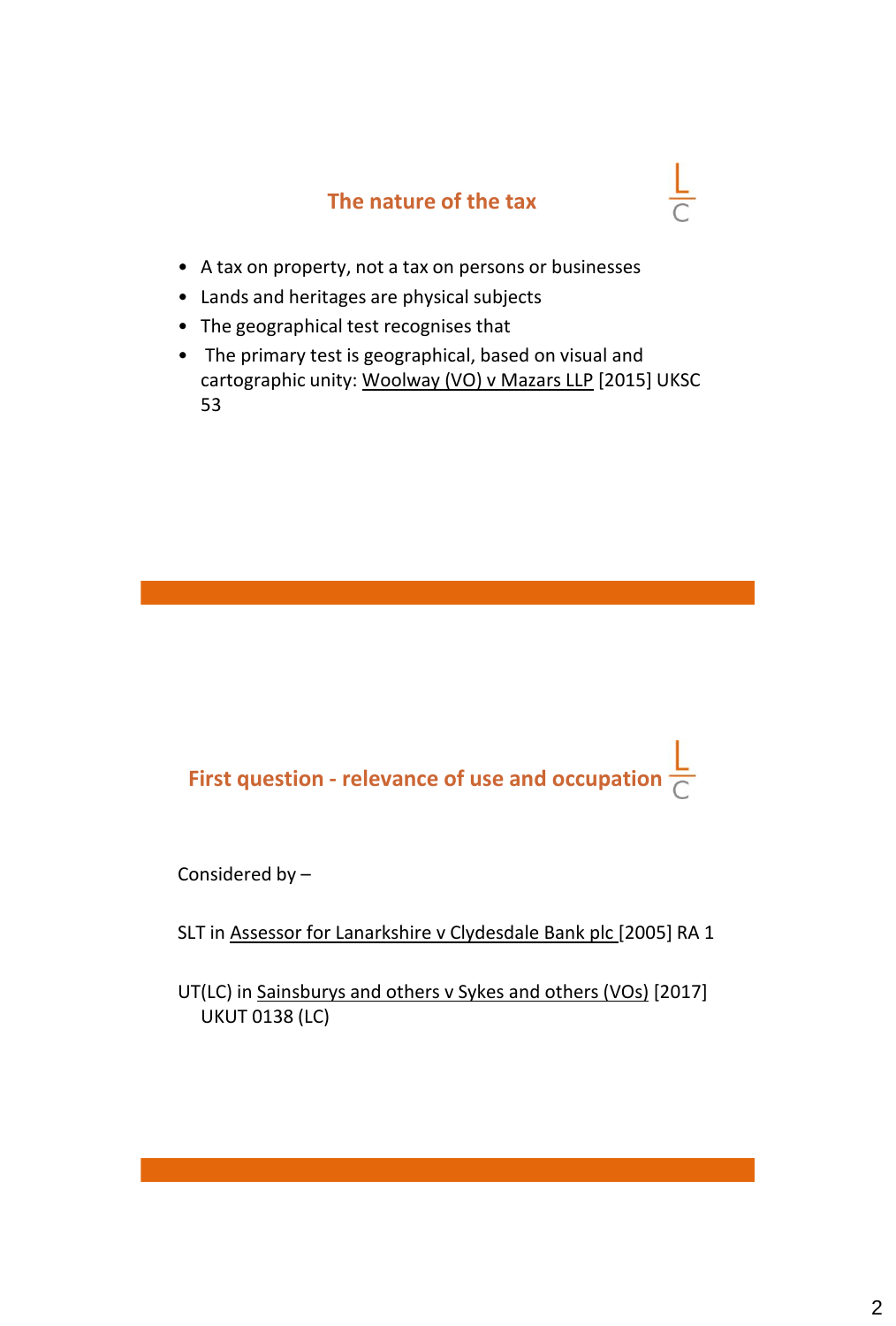#### **The nature of the tax**

 $\frac{L}{C}$ 

- A tax on property, not a tax on persons or businesses
- Lands and heritages are physical subjects
- The geographical test recognises that
- The primary test is geographical, based on visual and cartographic unity: Woolway (VO) v Mazars LLP [2015] UKSC 53

 **First question - relevance of use and occupation**

Considered by –

SLT in Assessor for Lanarkshire v Clydesdale Bank plc [2005] RA 1

UT(LC) in Sainsburys and others v Sykes and others (VOs) [2017] UKUT 0138 (LC)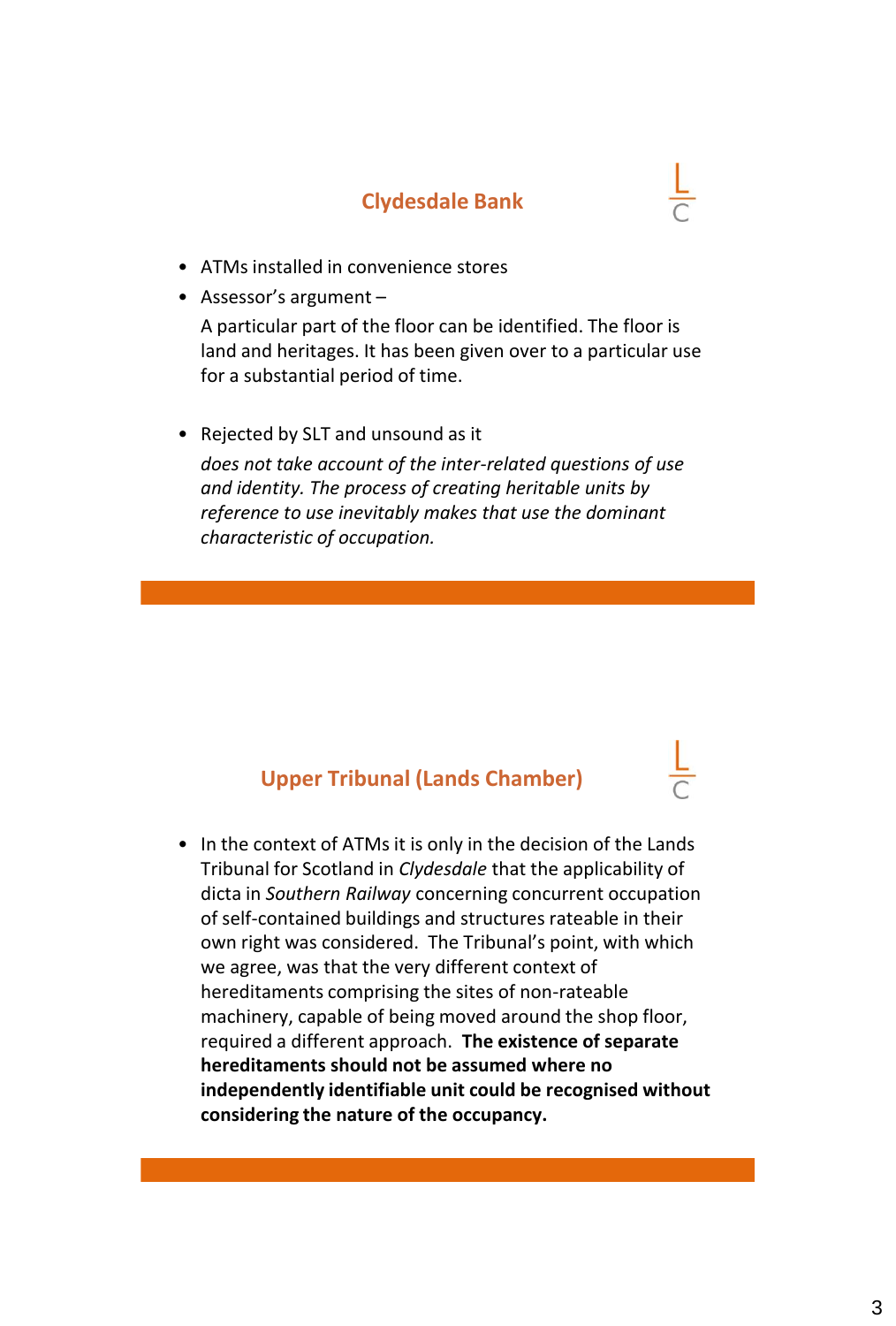#### **Clydesdale Bank**

- ATMs installed in convenience stores
- Assessor's argument –

A particular part of the floor can be identified. The floor is land and heritages. It has been given over to a particular use for a substantial period of time.

• Rejected by SLT and unsound as it

*does not take account of the inter-related questions of use and identity. The process of creating heritable units by reference to use inevitably makes that use the dominant characteristic of occupation.* 

#### **Upper Tribunal (Lands Chamber)**

• In the context of ATMs it is only in the decision of the Lands Tribunal for Scotland in *Clydesdale* that the applicability of dicta in *Southern Railway* concerning concurrent occupation of self-contained buildings and structures rateable in their own right was considered. The Tribunal's point, with which we agree, was that the very different context of hereditaments comprising the sites of non-rateable machinery, capable of being moved around the shop floor, required a different approach. **The existence of separate hereditaments should not be assumed where no independently identifiable unit could be recognised without considering the nature of the occupancy.**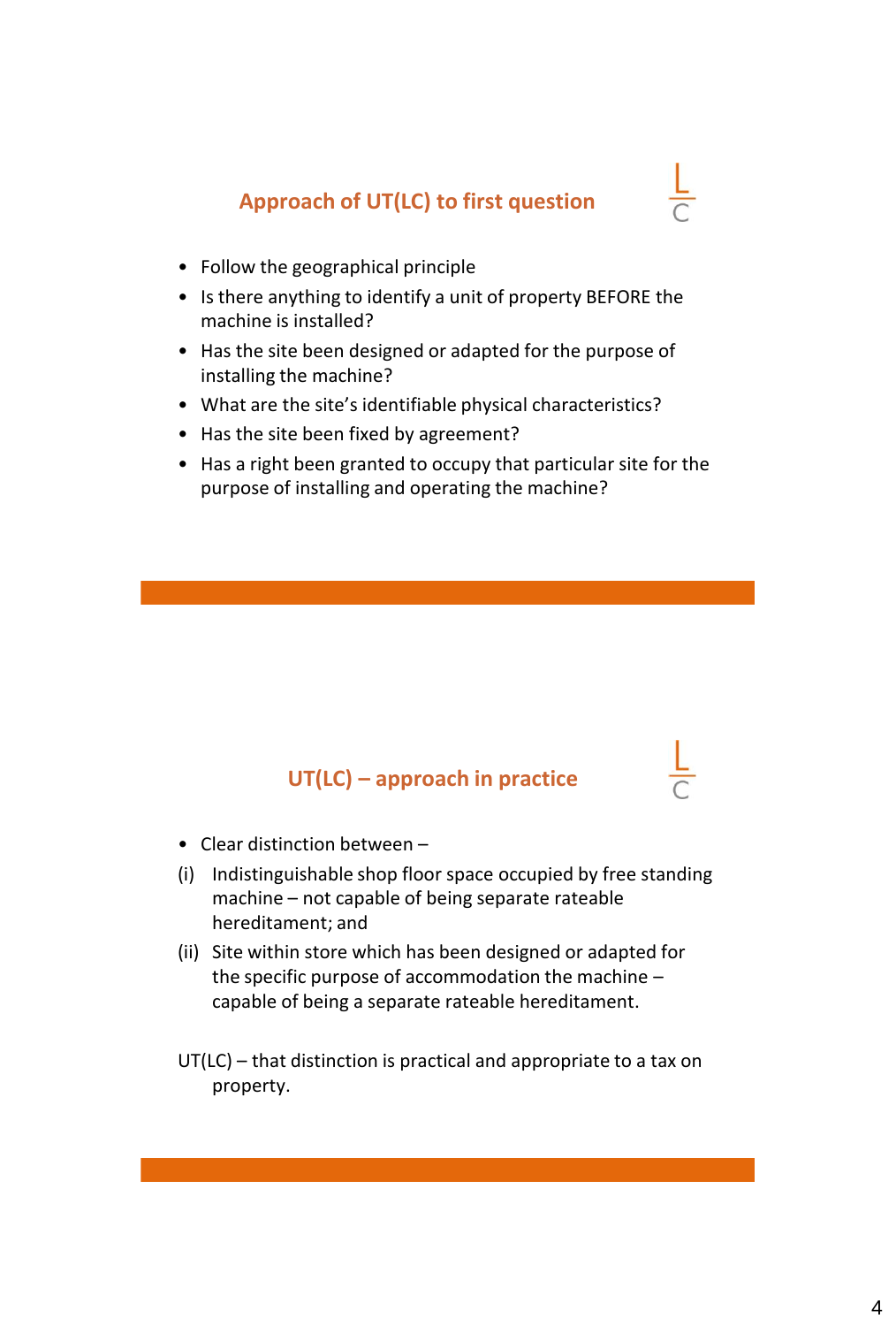### **Approach of UT(LC) to first question**

- Follow the geographical principle
- Is there anything to identify a unit of property BEFORE the machine is installed?
- Has the site been designed or adapted for the purpose of installing the machine?
- What are the site's identifiable physical characteristics?
- Has the site been fixed by agreement?
- Has a right been granted to occupy that particular site for the purpose of installing and operating the machine?

#### **UT(LC) – approach in practice**

- Clear distinction between –
- (i) Indistinguishable shop floor space occupied by free standing machine – not capable of being separate rateable hereditament; and
- (ii) Site within store which has been designed or adapted for the specific purpose of accommodation the machine – capable of being a separate rateable hereditament.
- UT(LC) that distinction is practical and appropriate to a tax on property.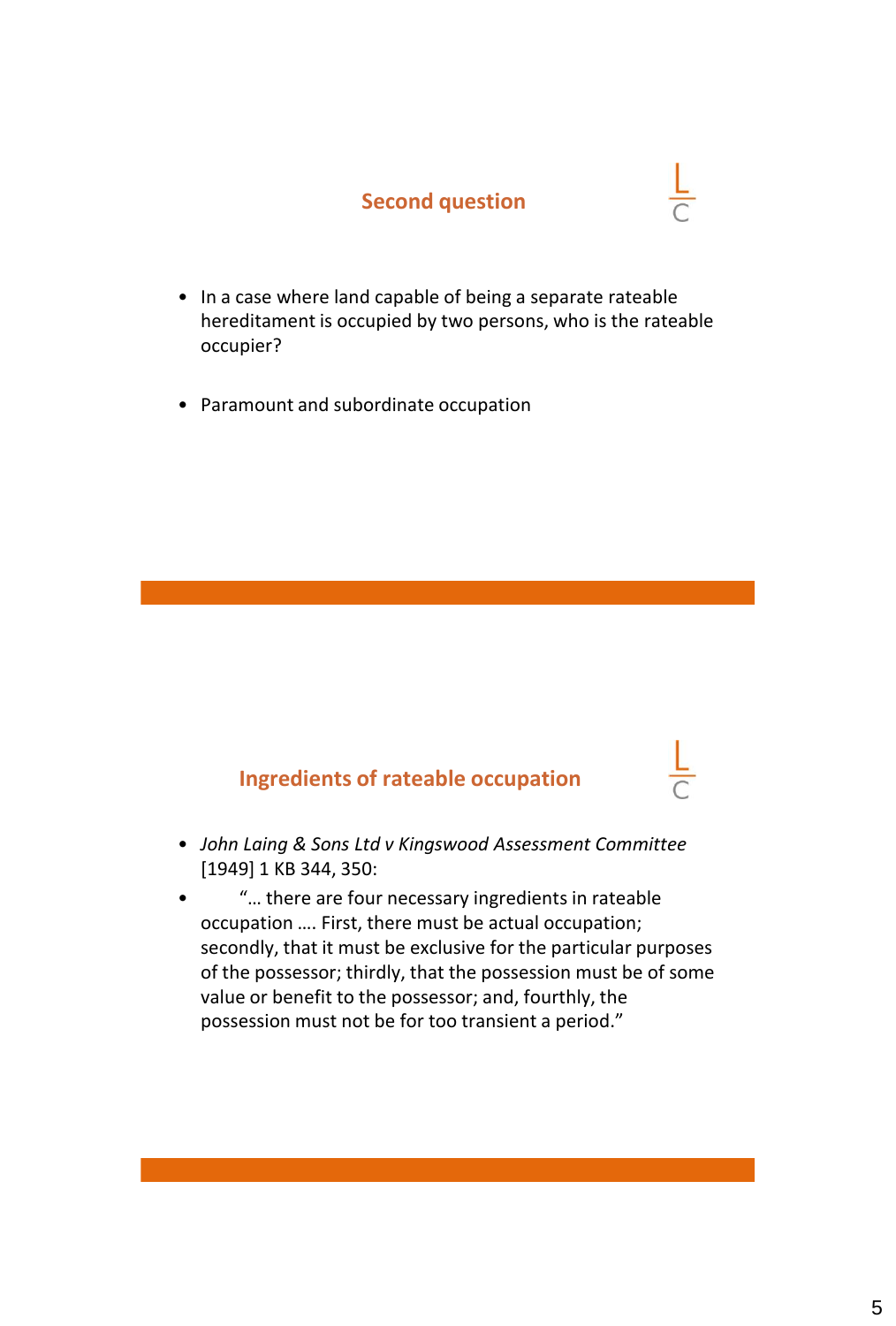#### **Second question**

- In a case where land capable of being a separate rateable hereditament is occupied by two persons, who is the rateable occupier?
	- Paramount and subordinate occupation

#### **Ingredients of rateable occupation**

- *John Laing & Sons Ltd v Kingswood Assessment Committee* [1949] 1 KB 344, 350:
- "… there are four necessary ingredients in rateable occupation …. First, there must be actual occupation; secondly, that it must be exclusive for the particular purposes of the possessor; thirdly, that the possession must be of some value or benefit to the possessor; and, fourthly, the possession must not be for too transient a period."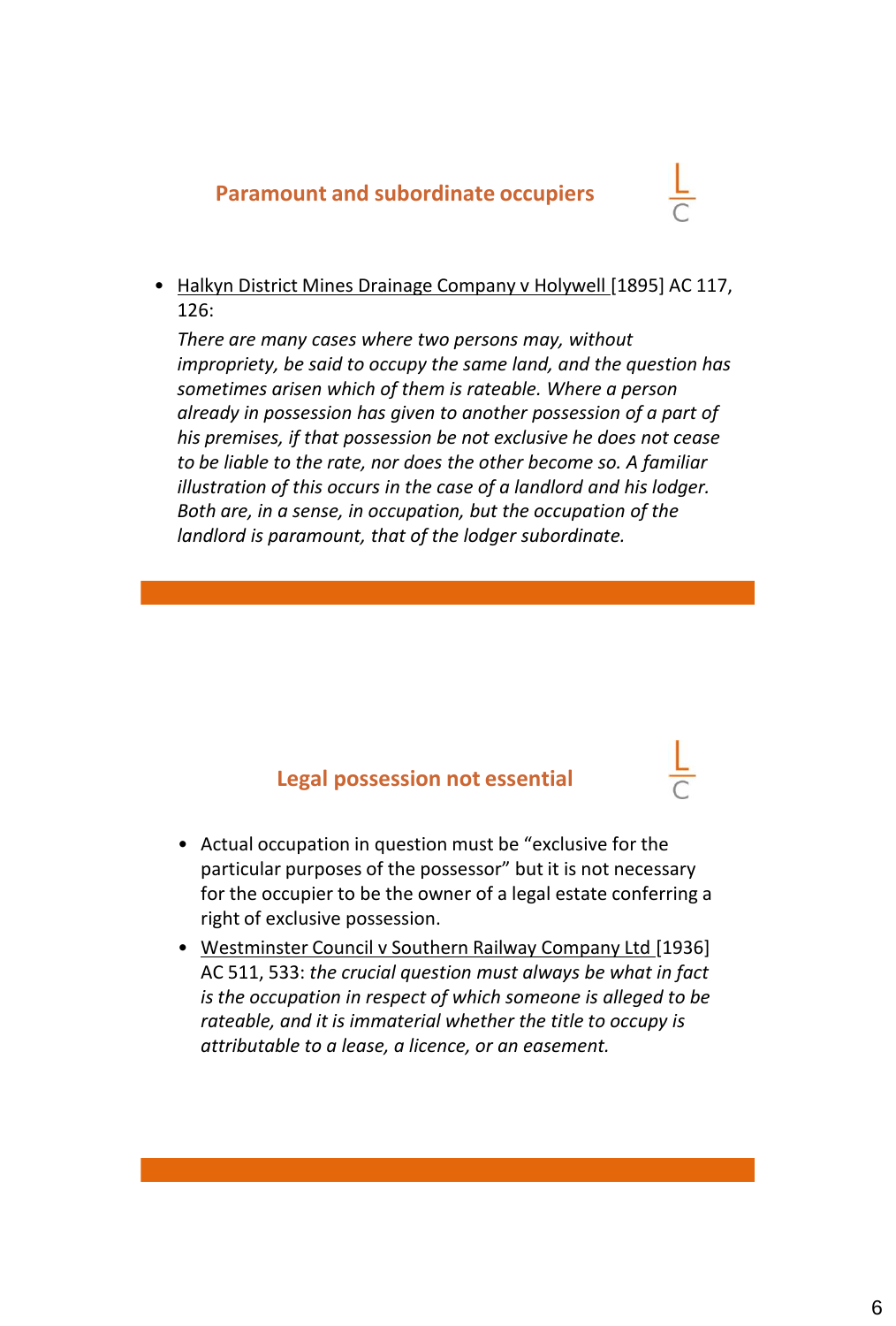#### **Paramount and subordinate occupiers**

• Halkyn District Mines Drainage Company v Holywell [1895] AC 117, 126:

*There are many cases where two persons may, without impropriety, be said to occupy the same land, and the question has sometimes arisen which of them is rateable. Where a person already in possession has given to another possession of a part of his premises, if that possession be not exclusive he does not cease to be liable to the rate, nor does the other become so. A familiar illustration of this occurs in the case of a landlord and his lodger. Both are, in a sense, in occupation, but the occupation of the landlord is paramount, that of the lodger subordinate.*

#### **Legal possession not essential**

- Actual occupation in question must be "exclusive for the particular purposes of the possessor" but it is not necessary for the occupier to be the owner of a legal estate conferring a right of exclusive possession.
- Westminster Council v Southern Railway Company Ltd [1936] AC 511, 533: *the crucial question must always be what in fact is the occupation in respect of which someone is alleged to be rateable, and it is immaterial whether the title to occupy is attributable to a lease, a licence, or an easement.*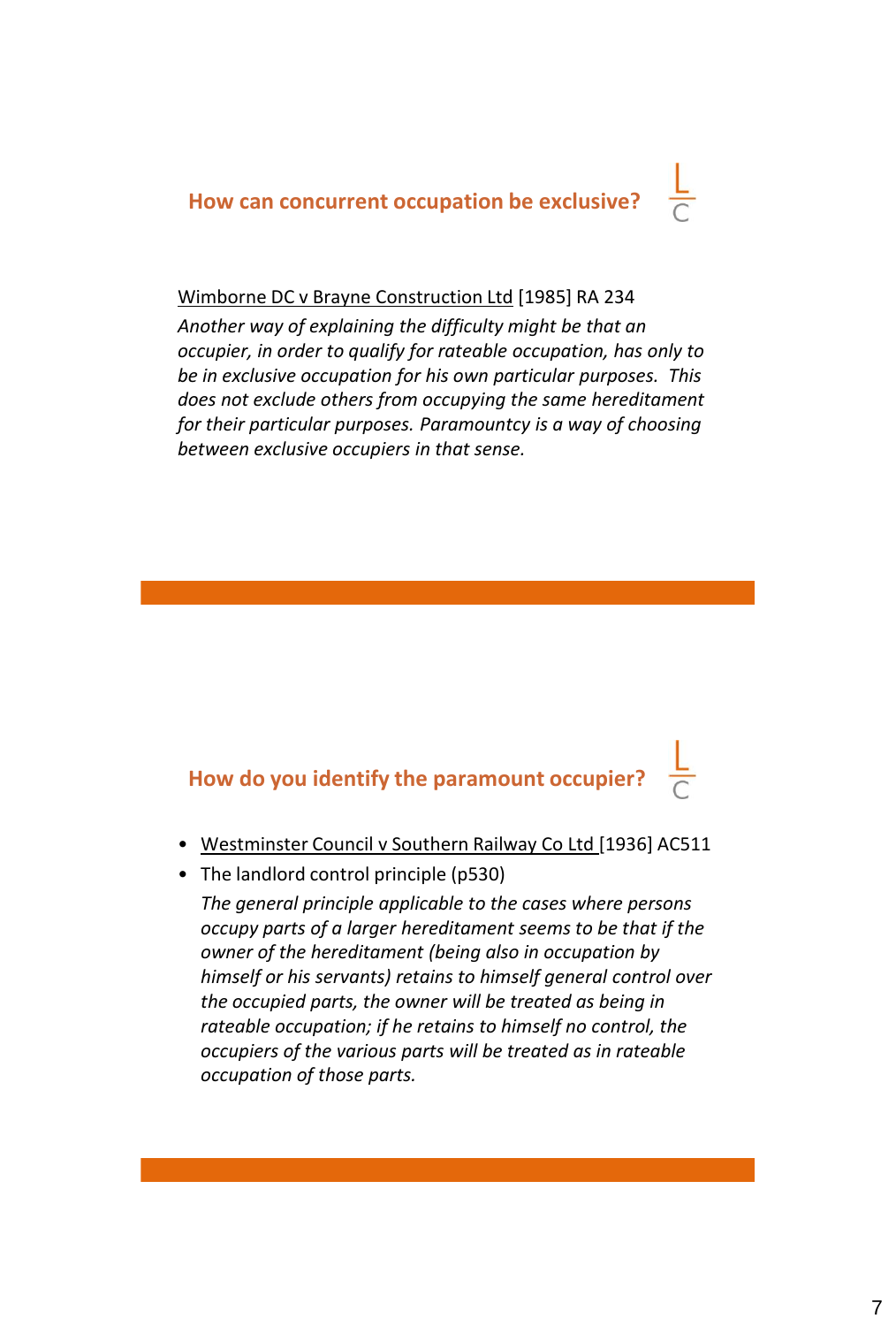**How can concurrent occupation be exclusive?**

#### Wimborne DC v Brayne Construction Ltd [1985] RA 234

*Another way of explaining the difficulty might be that an occupier, in order to qualify for rateable occupation, has only to be in exclusive occupation for his own particular purposes. This does not exclude others from occupying the same hereditament for their particular purposes. Paramountcy is a way of choosing between exclusive occupiers in that sense.* 

#### **How do you identify the paramount occupier?**

- Westminster Council v Southern Railway Co Ltd [1936] AC511
- The landlord control principle (p530)

*The general principle applicable to the cases where persons occupy parts of a larger hereditament seems to be that if the owner of the hereditament (being also in occupation by himself or his servants) retains to himself general control over the occupied parts, the owner will be treated as being in rateable occupation; if he retains to himself no control, the occupiers of the various parts will be treated as in rateable occupation of those parts.*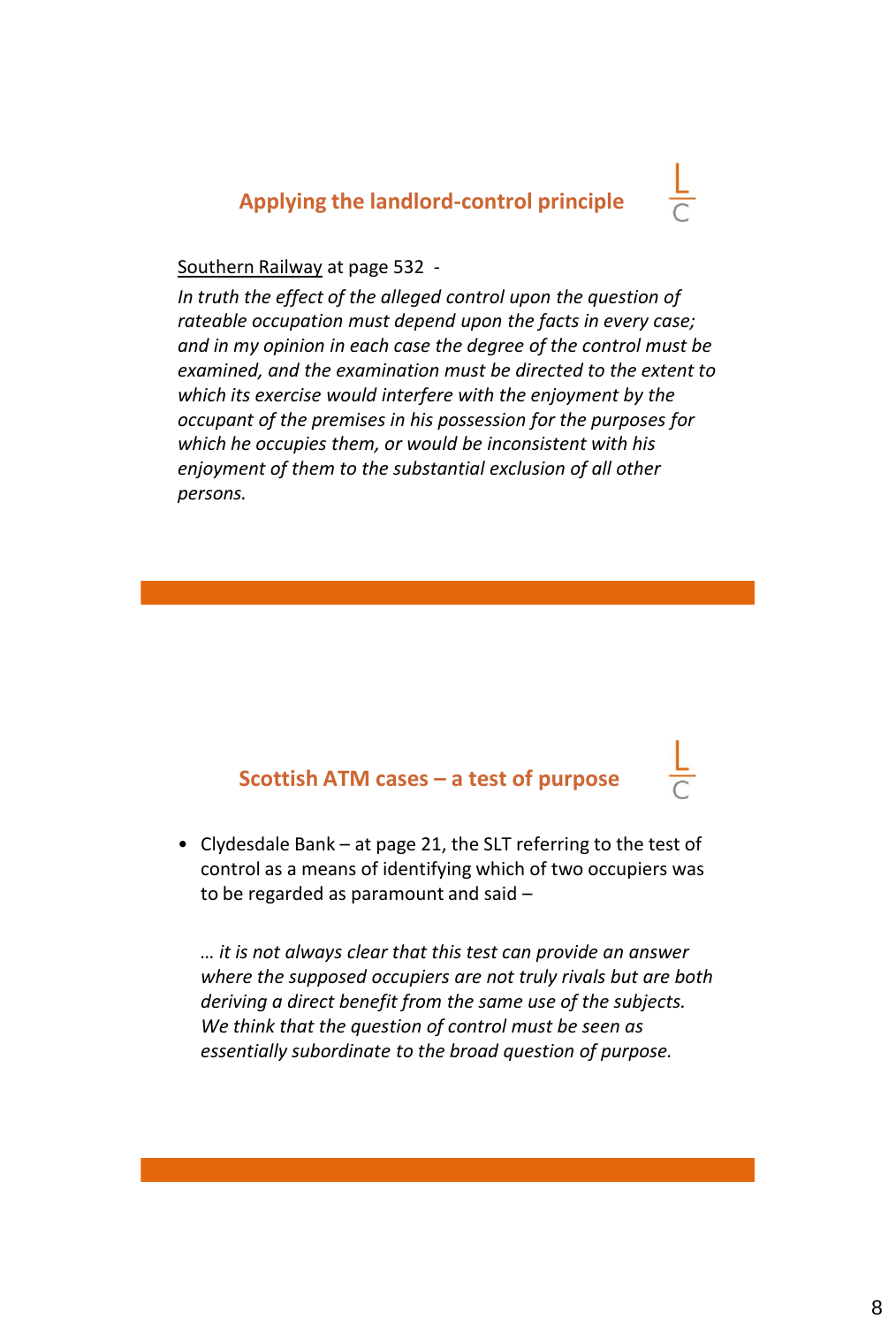#### **Applying the landlord-control principle**

#### Southern Railway at page 532 -

*In truth the effect of the alleged control upon the question of rateable occupation must depend upon the facts in every case; and in my opinion in each case the degree of the control must be examined, and the examination must be directed to the extent to which its exercise would interfere with the enjoyment by the occupant of the premises in his possession for the purposes for which he occupies them, or would be inconsistent with his enjoyment of them to the substantial exclusion of all other persons.*

#### **Scottish ATM cases – a test of purpose**

• Clydesdale Bank – at page 21, the SLT referring to the test of control as a means of identifying which of two occupiers was to be regarded as paramount and said –

*… it is not always clear that this test can provide an answer where the supposed occupiers are not truly rivals but are both deriving a direct benefit from the same use of the subjects. We think that the question of control must be seen as essentially subordinate to the broad question of purpose.*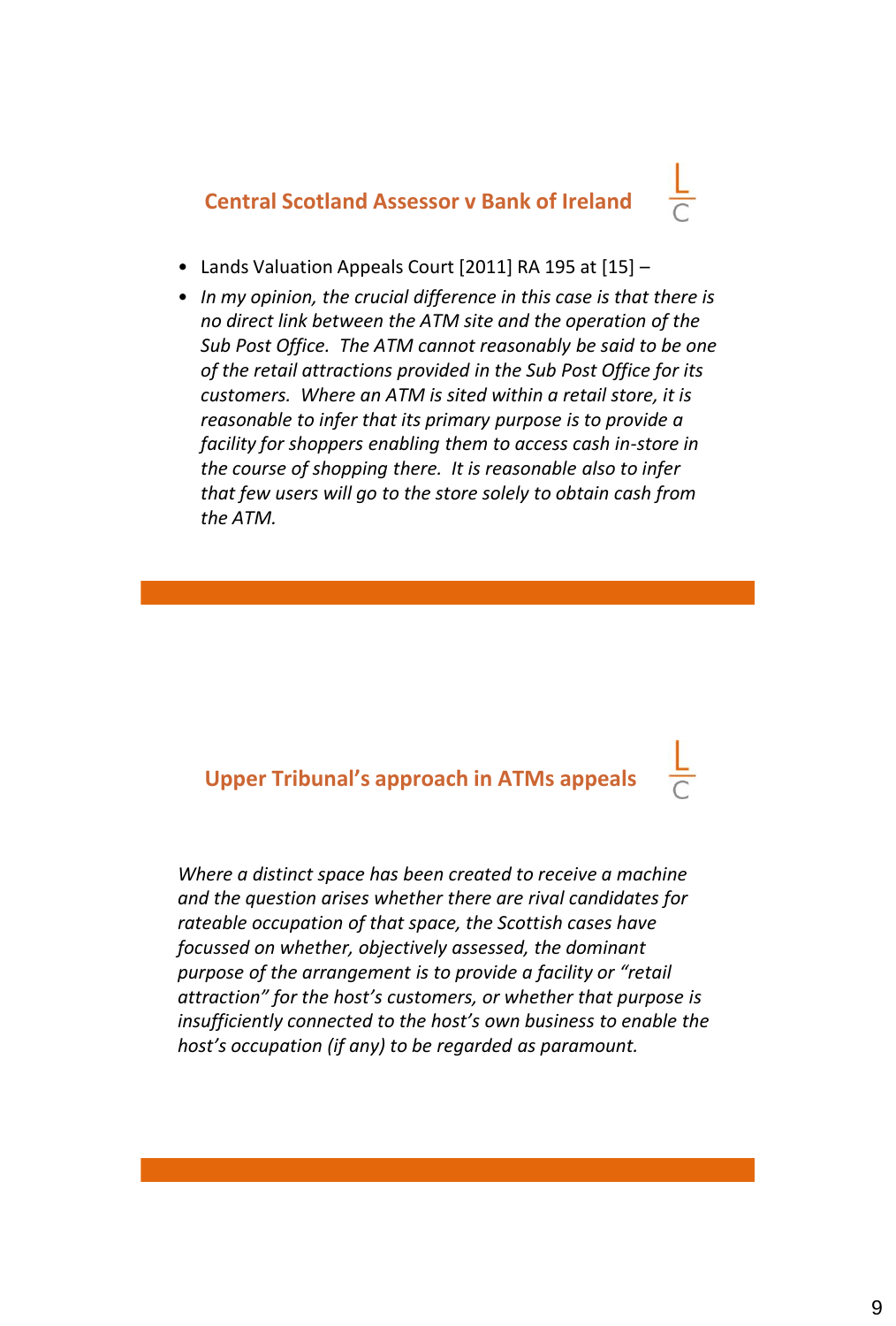**Central Scotland Assessor v Bank of Ireland** 

- Lands Valuation Appeals Court [2011] RA 195 at [15] –
- *In my opinion, the crucial difference in this case is that there is no direct link between the ATM site and the operation of the Sub Post Office. The ATM cannot reasonably be said to be one of the retail attractions provided in the Sub Post Office for its customers. Where an ATM is sited within a retail store, it is reasonable to infer that its primary purpose is to provide a facility for shoppers enabling them to access cash in-store in the course of shopping there. It is reasonable also to infer that few users will go to the store solely to obtain cash from the ATM.*

#### **Upper Tribunal's approach in ATMs appeals**

*Where a distinct space has been created to receive a machine and the question arises whether there are rival candidates for rateable occupation of that space, the Scottish cases have focussed on whether, objectively assessed, the dominant purpose of the arrangement is to provide a facility or "retail attraction" for the host's customers, or whether that purpose is insufficiently connected to the host's own business to enable the host's occupation (if any) to be regarded as paramount.*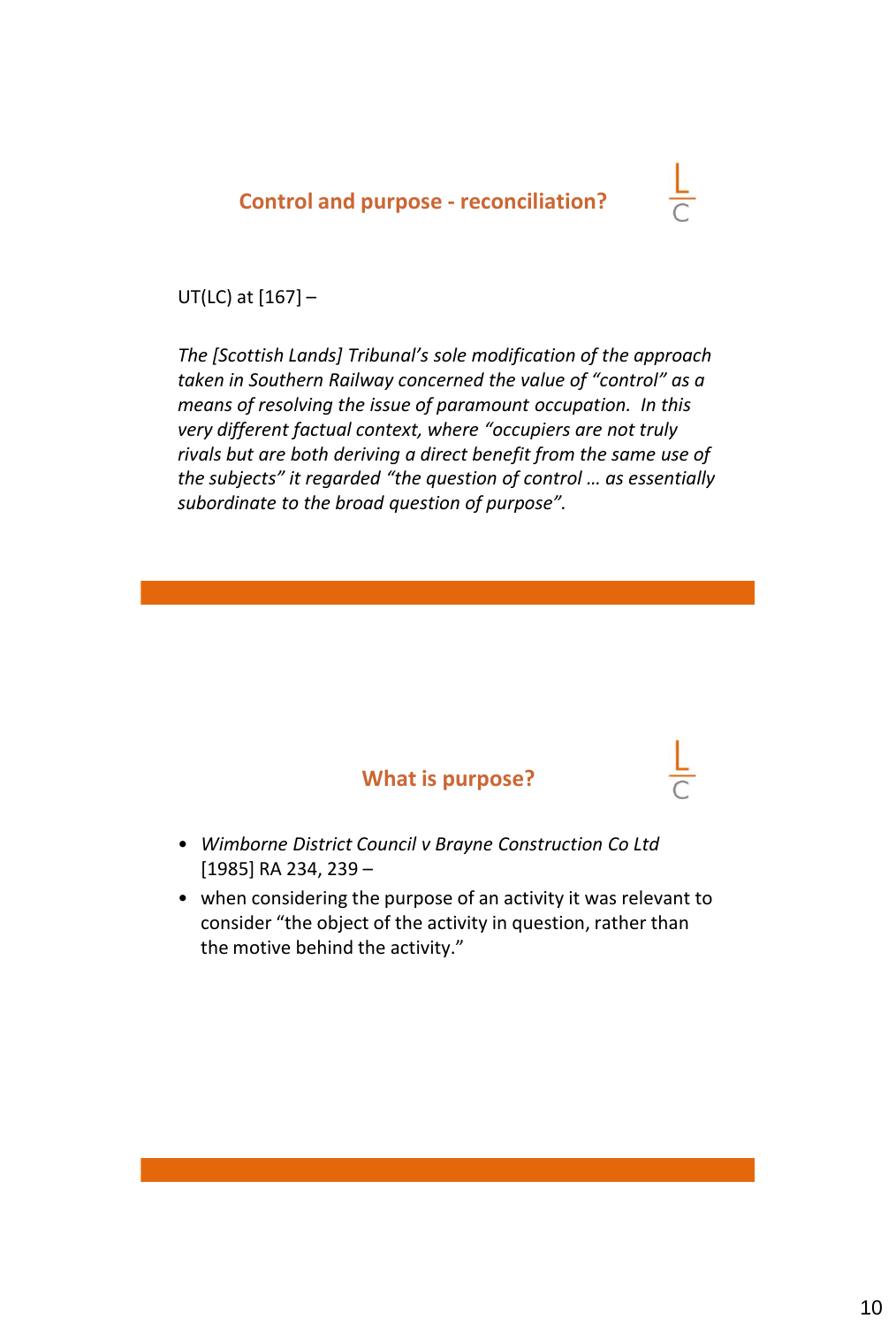#### **Control and purpose - reconciliation?**

#### UT(LC) at [167] –

*The [Scottish Lands] Tribunal's sole modification of the approach taken in Southern Railway concerned the value of "control" as a means of resolving the issue of paramount occupation. In this very different factual context, where "occupiers are not truly rivals but are both deriving a direct benefit from the same use of the subjects" it regarded "the question of control … as essentially subordinate to the broad question of purpose".* 



- *Wimborne District Council v Brayne Construction Co Ltd*  [1985] RA 234, 239 –
- when considering the purpose of an activity it was relevant to consider "the object of the activity in question, rather than the motive behind the activity."